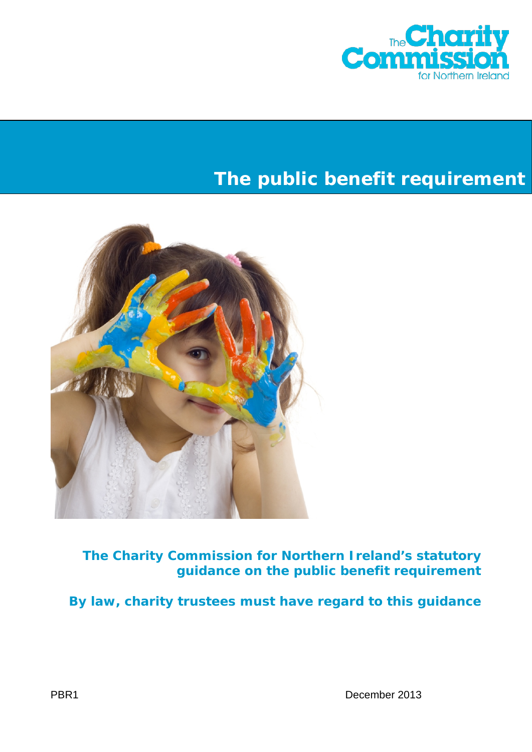

# **The public benefit requirement**



**The Charity Commission for Northern Ireland's statutory guidance on the public benefit requirement**

**By law, charity trustees must have regard to this guidance**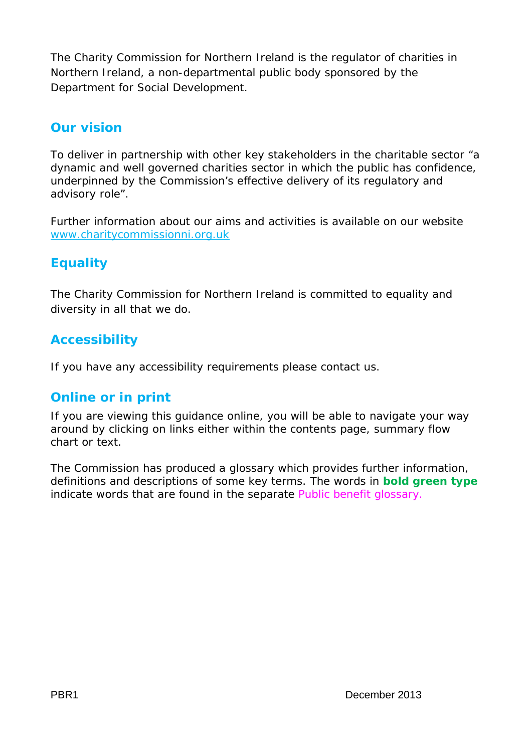The Charity Commission for Northern Ireland is the regulator of charities in Northern Ireland, a non-departmental public body sponsored by the Department for Social Development.

# **Our vision**

To deliver in partnership with other key stakeholders in the charitable sector "a dynamic and well governed charities sector in which the public has confidence, underpinned by the Commission's effective delivery of its regulatory and advisory role".

Further information about our aims and activities is available on our website [www.charitycommissionni.org.uk](http://www.charitycommissionni.org.uk/)

# **Equality**

The Charity Commission for Northern Ireland is committed to equality and diversity in all that we do.

# **Accessibility**

If you have any accessibility requirements please contact us.

# **Online or in print**

If you are viewing this guidance online, you will be able to navigate your way around by clicking on links either within the contents page, summary flow chart or text.

The Commission has produced a glossary which provides further information, definitions and descriptions of some key terms. The words in **bold green type** indicate words that are found in the separate [Public benefit glossary.](http://www.charitycommissionni.org.uk/Charity_requirements_guidance/Public_benefit_requirement.aspx)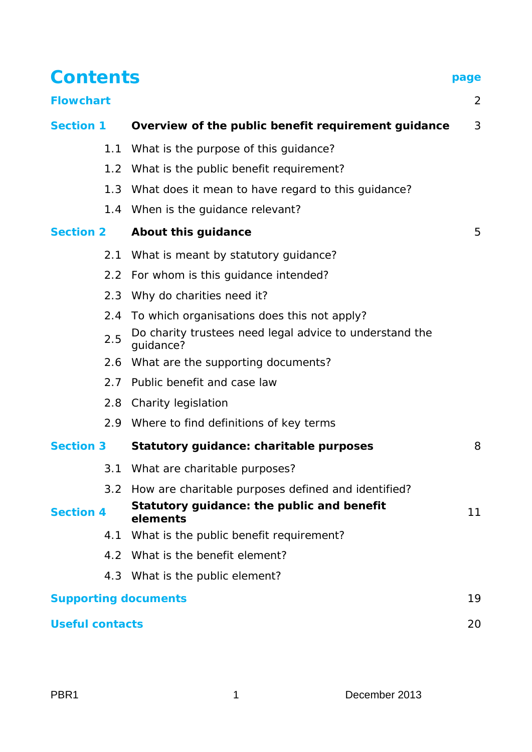# **Contents page**

| <b>Section 1</b>            | Overview of the public benefit requirement guidance                  | 3  |
|-----------------------------|----------------------------------------------------------------------|----|
|                             | 1.1 What is the purpose of this guidance?                            |    |
|                             | 1.2 What is the public benefit requirement?                          |    |
|                             | 1.3 What does it mean to have regard to this guidance?               |    |
|                             | 1.4 When is the guidance relevant?                                   |    |
| <b>Section 2</b>            | About this guidance                                                  | 5  |
|                             | 2.1 What is meant by statutory guidance?                             |    |
|                             | 2.2 For whom is this guidance intended?                              |    |
|                             | 2.3 Why do charities need it?                                        |    |
|                             | 2.4 To which organisations does this not apply?                      |    |
| 2.5                         | Do charity trustees need legal advice to understand the<br>guidance? |    |
|                             | 2.6 What are the supporting documents?                               |    |
|                             | 2.7 Public benefit and case law                                      |    |
|                             | 2.8 Charity legislation                                              |    |
|                             | 2.9 Where to find definitions of key terms                           |    |
| <b>Section 3</b>            | Statutory guidance: charitable purposes                              | 8  |
|                             | 3.1 What are charitable purposes?                                    |    |
| $3.2^{\circ}$               | How are charitable purposes defined and identified?                  |    |
| <b>Section 4</b>            | Statutory guidance: the public and benefit<br>elements               | 11 |
| 4.1                         | What is the public benefit requirement?                              |    |
| 4.2                         | What is the benefit element?                                         |    |
| 4.3                         | What is the public element?                                          |    |
| <b>Supporting documents</b> |                                                                      | 19 |
| <b>Useful contacts</b>      |                                                                      | 20 |

**[Flowchart](#page-3-0)** 2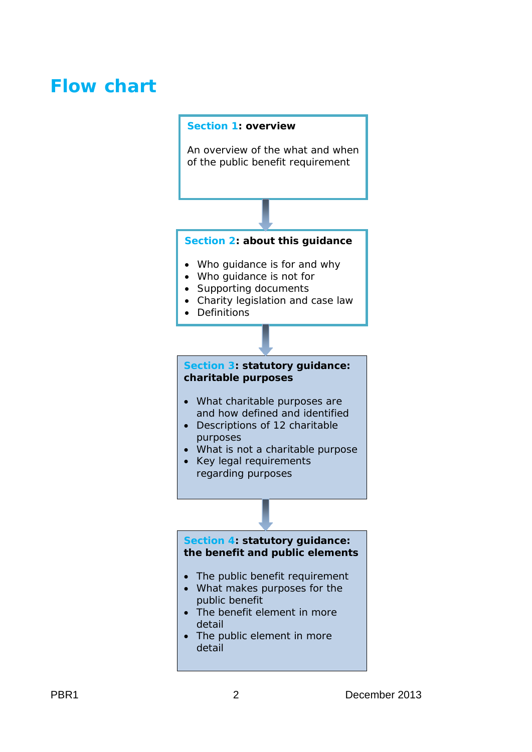# <span id="page-3-0"></span>**Flow chart**

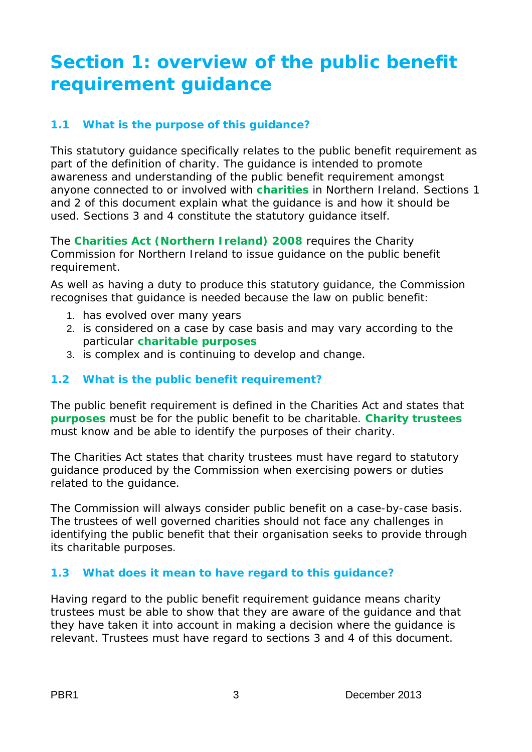# <span id="page-4-0"></span>**Section 1: overview of the public benefit requirement guidance**

# **1.1 What is the purpose of this guidance?**

This statutory guidance specifically relates to the public benefit requirement as part of the definition of charity. The guidance is intended to promote awareness and understanding of the public benefit requirement amongst anyone connected to or involved with **charities** in Northern Ireland. Sections 1 and 2 of this document explain what the guidance is and how it should be used. Sections 3 and 4 constitute the statutory guidance itself.

The **Charities Act (Northern Ireland) 2008** requires the Charity Commission for Northern Ireland to issue guidance on the public benefit requirement.

As well as having a duty to produce this statutory guidance, the Commission recognises that guidance is needed because the law on public benefit:

- 1. has evolved over many years
- 2. is considered on a case by case basis and may vary according to the particular **charitable purposes**
- 3. is complex and is continuing to develop and change.

# **1.2 What is the public benefit requirement?**

The public benefit requirement is defined in the Charities Act and states that **purposes** must be for the public benefit to be charitable. **Charity trustees** must know and be able to identify the purposes of their charity.

The Charities Act states that charity trustees must have regard to statutory guidance produced by the Commission when exercising powers or duties related to the guidance.

The Commission will always consider public benefit on a case-by-case basis. The trustees of well governed charities should not face any challenges in identifying the public benefit that their organisation seeks to provide through its charitable purposes.

# **1.3 What does it mean to have regard to this guidance?**

Having regard to the public benefit requirement guidance means charity trustees must be able to show that they are aware of the guidance and that they have taken it into account in making a decision where the guidance is relevant. Trustees must have regard to sections 3 and 4 of this document.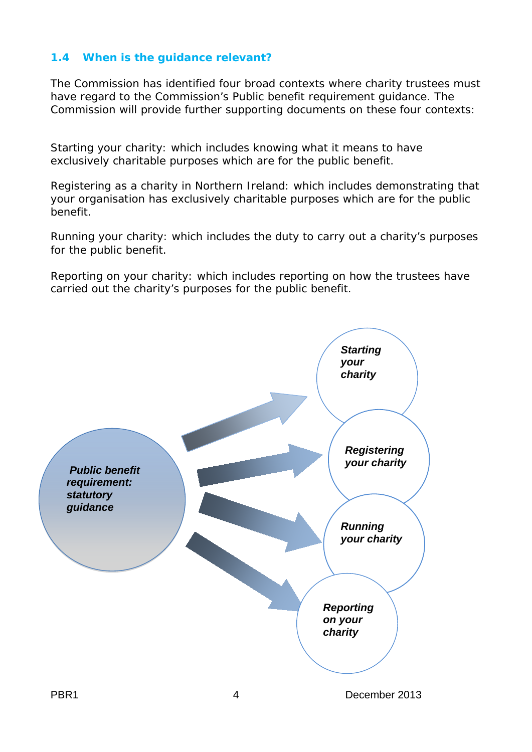# **1.4 When is the guidance relevant?**

The Commission has identified four broad contexts where charity trustees must have regard to the Commission's *Public benefit requirement* guidance. The Commission will provide further supporting documents on these four contexts:

*Starting your charity*: which includes knowing what it means to have exclusively charitable purposes which are for the public benefit.

*Registering as a charity in Northern Ireland*: which includes demonstrating that your organisation has exclusively charitable purposes which are for the public benefit.

*Running your charity*: which includes the duty to carry out a charity's purposes for the public benefit.

*Reporting on your charity*: which includes reporting on how the trustees have carried out the charity's purposes for the public benefit.

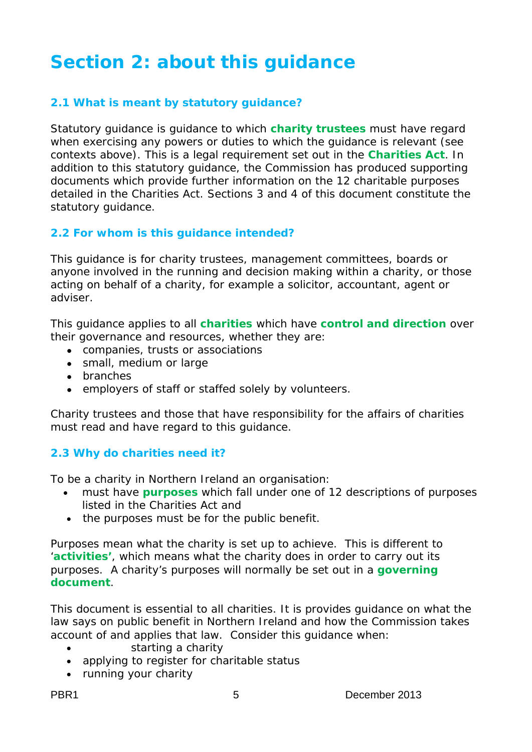# <span id="page-6-0"></span>**Section 2: about this guidance**

# **2.1 What is meant by statutory guidance?**

Statutory guidance is guidance to which **charity trustees** must have regard when exercising any powers or duties to which the guidance is relevant (see contexts above). This is a legal requirement set out in the **Charities Act**. In addition to this statutory guidance, the Commission has produced supporting documents which provide further information on the 12 charitable purposes detailed in the Charities Act. Sections 3 and 4 of this document constitute the statutory guidance.

#### **2.2 For whom is this guidance intended?**

This guidance is for charity trustees, management committees, boards or anyone involved in the running and decision making within a charity, or those acting on behalf of a charity, for example a solicitor, accountant, agent or adviser.

This guidance applies to all **charities** which have **control and direction** over their governance and resources, whether they are:

- companies, trusts or associations
- small, medium or large
- branches
- employers of staff or staffed solely by volunteers.

Charity trustees and those that have responsibility for the affairs of charities must read and have regard to this guidance.

#### **2.3 Why do charities need it?**

To be a charity in Northern Ireland an organisation:

- must have **purposes** which fall under one of 12 descriptions of purposes listed in the Charities Act and
- the purposes must be for the public benefit.

Purposes mean what the charity is set up to achieve. This is different to '**activities'**, which means what the charity does in order to carry out its purposes. A charity's purposes will normally be set out in a **governing document**.

This document is essential to all charities. It is provides guidance on what the law says on public benefit in Northern Ireland and how the Commission takes account of and applies that law. Consider this guidance when:

- starting a charity
- applying to register for charitable status
- running your charity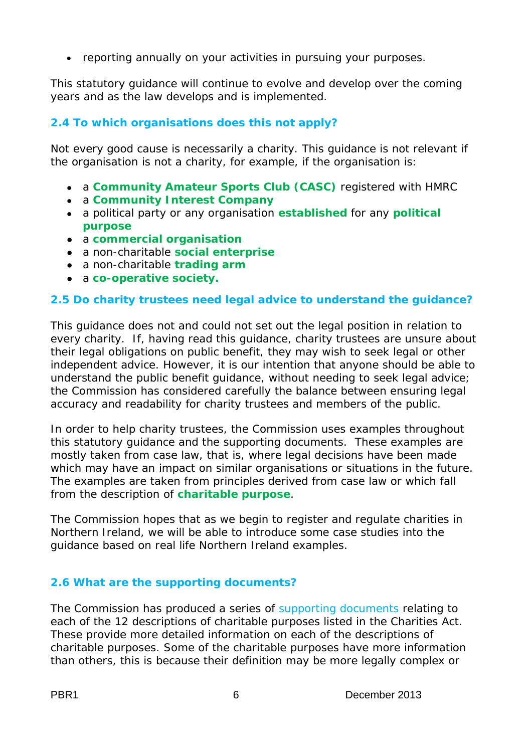• reporting annually on your activities in pursuing your purposes.

This statutory guidance will continue to evolve and develop over the coming years and as the law develops and is implemented.

# **2.4 To which organisations does this not apply?**

Not every good cause is necessarily a charity. This guidance is not relevant if the organisation is not a charity, for example, if the organisation is:

- a **Community Amateur Sports Club (CASC)** registered with HMRC
- a **Community Interest Company**
- a political party or any organisation **established** for any **political purpose**
- a **commercial organisation**
- a non-charitable **social enterprise**
- a non-charitable **trading arm**
- a **co-operative society.**

# **2.5 Do charity trustees need legal advice to understand the guidance?**

This guidance does not and could not set out the legal position in relation to every charity. If, having read this guidance, charity trustees are unsure about their legal obligations on public benefit, they may wish to seek legal or other independent advice. However, it is our intention that anyone should be able to understand the public benefit quidance, without needing to seek legal advice; the Commission has considered carefully the balance between ensuring legal accuracy and readability for charity trustees and members of the public.

In order to help charity trustees, the Commission uses examples throughout this statutory guidance and the supporting documents. These examples are mostly taken from case law, that is, where legal decisions have been made which may have an impact on similar organisations or situations in the future. The examples are taken from principles derived from case law or which fall from the description of **charitable purpose**.

The Commission hopes that as we begin to register and regulate charities in Northern Ireland, we will be able to introduce some case studies into the guidance based on real life Northern Ireland examples.

# **2.6 What are the supporting documents?**

The Commission has produced a series of [supporting documents](#page-20-0) relating to each of the 12 descriptions of charitable purposes listed in the Charities Act. These provide more detailed information on each of the descriptions of charitable purposes. Some of the charitable purposes have more information than others, this is because their definition may be more legally complex or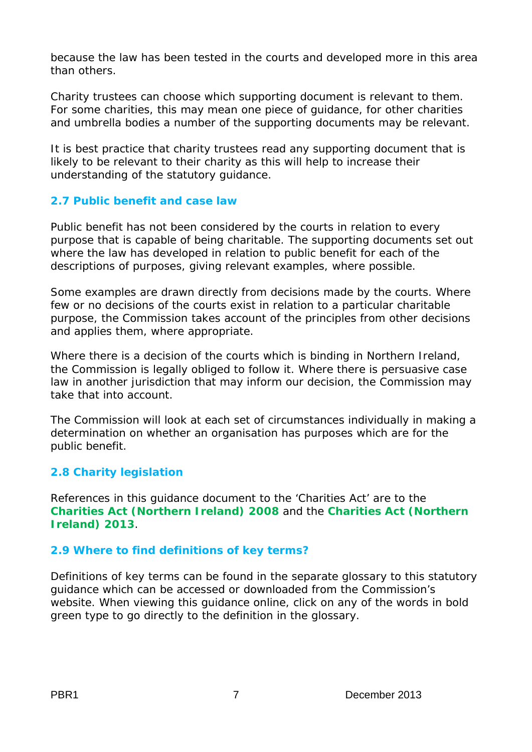because the law has been tested in the courts and developed more in this area than others.

Charity trustees can choose which supporting document is relevant to them. For some charities, this may mean one piece of guidance, for other charities and umbrella bodies a number of the supporting documents may be relevant.

It is best practice that charity trustees read any supporting document that is likely to be relevant to their charity as this will help to increase their understanding of the statutory guidance.

## **2.7 Public benefit and case law**

Public benefit has not been considered by the courts in relation to every purpose that is capable of being charitable. The supporting documents set out where the law has developed in relation to public benefit for each of the descriptions of purposes, giving relevant examples, where possible.

Some examples are drawn directly from decisions made by the courts. Where few or no decisions of the courts exist in relation to a particular charitable purpose, the Commission takes account of the principles from other decisions and applies them, where appropriate.

Where there is a decision of the courts which is binding in Northern Ireland, the Commission is legally obliged to follow it. Where there is persuasive case law in another jurisdiction that may inform our decision, the Commission may take that into account.

The Commission will look at each set of circumstances individually in making a determination on whether an organisation has purposes which are for the public benefit.

# **2.8 Charity legislation**

References in this guidance document to the 'Charities Act' are to the **Charities Act (Northern Ireland) 2008** and the **Charities Act (Northern Ireland) 2013**.

# **2.9 Where to find definitions of key terms?**

Definitions of key terms can be found in the separate glossary to this statutory guidance which can be accessed or downloaded from the Commission's website. When viewing this guidance online, click on any of the words in bold green type to go directly to the definition in the glossary.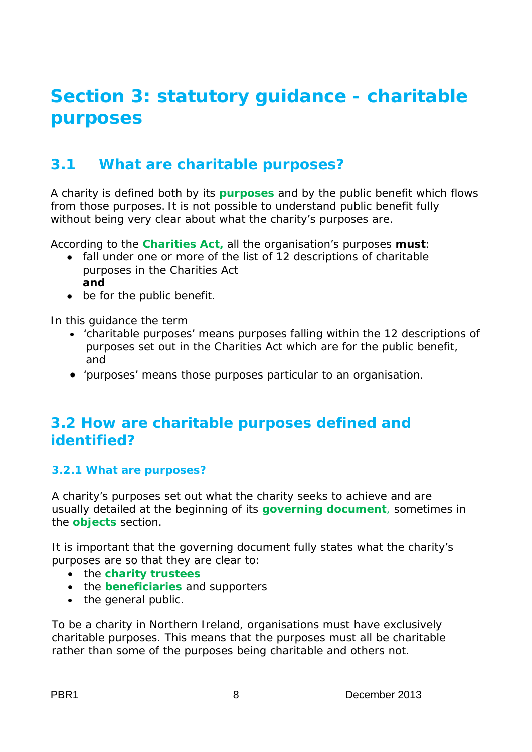# <span id="page-9-0"></span>**Section 3: statutory guidance - charitable purposes**

# **3.1 What are charitable purposes?**

A charity is defined both by its **purposes** and by the public benefit which flows from those purposes. It is not possible to understand public benefit fully without being very clear about what the charity's purposes are.

According to the **Charities Act,** all the organisation's purposes **must**:

- fall under one or more of the list of 12 descriptions of charitable purposes in the Charities Act **and**
- be for the public benefit.

In this guidance the term

- 'charitable purposes' means purposes falling within the 12 descriptions of purposes set out in the Charities Act which are for the public benefit, and
- 'purposes' means those purposes particular to an organisation.

# **3.2 How are charitable purposes defined and identified?**

#### **3.2.1 What are purposes?**

A charity's purposes set out what the charity seeks to achieve and are usually detailed at the beginning of its **governing document**, sometimes in the **objects** section.

It is important that the governing document fully states what the charity's purposes are so that they are clear to:

- the **charity trustees**
- the **beneficiaries** and supporters
- the general public.

To be a charity in Northern Ireland, organisations must have exclusively charitable purposes. This means that the purposes must all be charitable rather than some of the purposes being charitable and others not.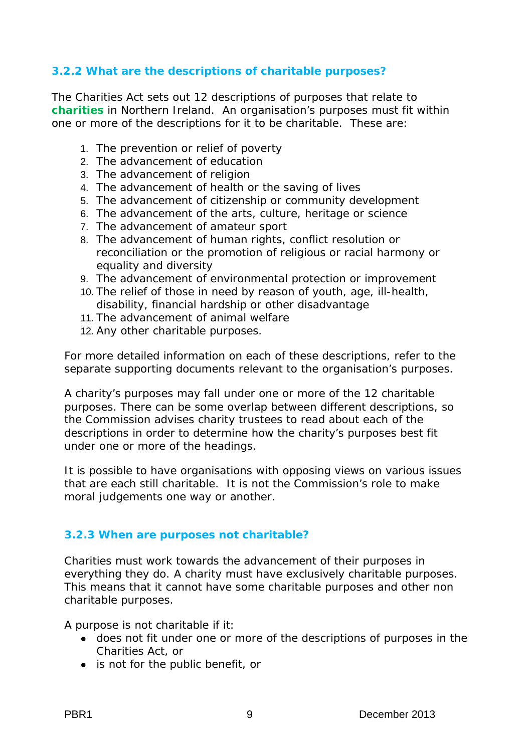# **3.2.2 What are the descriptions of charitable purposes?**

The Charities Act sets out 12 descriptions of purposes that relate to **charities** in Northern Ireland. An organisation's purposes must fit within one or more of the descriptions for it to be charitable. These are:

- 1. The prevention or relief of poverty
- 2. The advancement of education
- 3. The advancement of religion
- 4. The advancement of health or the saving of lives
- 5. The advancement of citizenship or community development
- 6. The advancement of the arts, culture, heritage or science
- 7. The advancement of amateur sport
- 8. The advancement of human rights, conflict resolution or reconciliation or the promotion of religious or racial harmony or equality and diversity
- 9. The advancement of environmental protection or improvement
- 10. The relief of those in need by reason of youth, age, ill-health, disability, financial hardship or other disadvantage
- 11. The advancement of animal welfare
- 12. Any other charitable purposes.

For more detailed information on each of these descriptions, refer to the separate supporting documents relevant to the organisation's purposes.

A charity's purposes may fall under one or more of the 12 charitable purposes. There can be some overlap between different descriptions, so the Commission advises charity trustees to read about each of the descriptions in order to determine how the charity's purposes best fit under one or more of the headings.

It is possible to have organisations with opposing views on various issues that are each still charitable. It is not the Commission's role to make moral judgements one way or another.

#### **3.2.3 When are purposes not charitable?**

Charities must work towards the advancement of their purposes in everything they do. A charity must have exclusively charitable purposes. This means that it cannot have some charitable purposes and other non charitable purposes.

A purpose is not charitable if it:

- does not fit under one or more of the descriptions of purposes in the Charities Act, or
- is not for the public benefit, or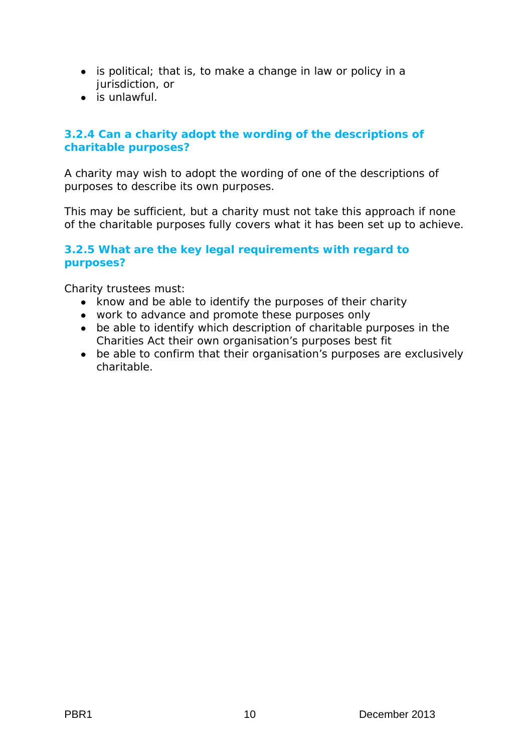- is political; that is, to make a change in law or policy in a jurisdiction, or
- $\bullet$  is unlawful.

## **3.2.4 Can a charity adopt the wording of the descriptions of charitable purposes?**

A charity may wish to adopt the wording of one of the descriptions of purposes to describe its own purposes.

This may be sufficient, but a charity must not take this approach if none of the charitable purposes fully covers what it has been set up to achieve.

## **3.2.5 What are the key legal requirements with regard to purposes?**

Charity trustees must:

- know and be able to identify the purposes of their charity
- work to advance and promote these purposes only
- be able to identify which description of charitable purposes in the Charities Act their own organisation's purposes best fit
- be able to confirm that their organisation's purposes are exclusively charitable.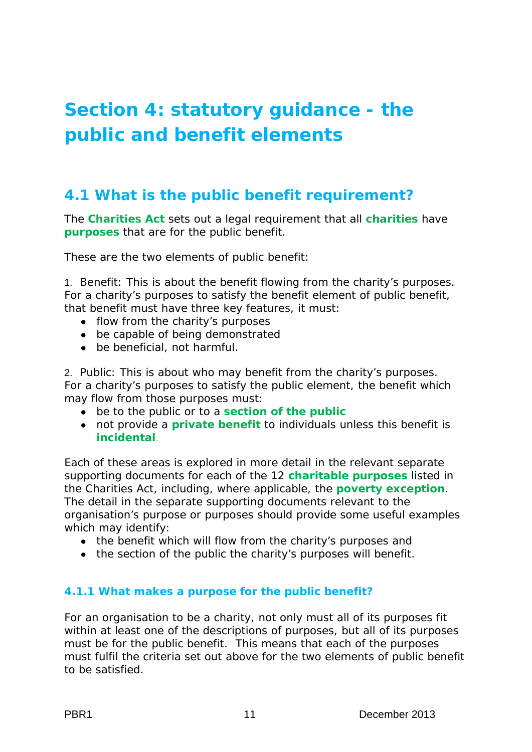# <span id="page-12-0"></span>**Section 4: statutory guidance - the public and benefit elements**

# **4.1 What is the public benefit requirement?**

The **Charities Act** sets out a legal requirement that all **charities** have **purposes** that are for the public benefit.

These are the two elements of public benefit:

1. Benefit: This is about the benefit flowing from the charity's purposes. For a charity's purposes to satisfy the benefit element of public benefit, that benefit must have three key features, it must:

- flow from the charity's purposes
- be capable of being demonstrated
- be beneficial, not harmful.

2. Public: This is about who may benefit from the charity's purposes. For a charity's purposes to satisfy the public element, the benefit which may flow from those purposes must:

- be to the public or to a **section of the public**
- not provide a **private benefit** to individuals unless this benefit is **incidental**.

Each of these areas is explored in more detail in the relevant separate supporting documents for each of the 12 **charitable purposes** listed in the Charities Act, including, where applicable, the **poverty exception**. The detail in the separate supporting documents relevant to the organisation's purpose or purposes should provide some useful examples which may identify:

- the benefit which will flow from the charity's purposes and
- the section of the public the charity's purposes will benefit.

#### **4.1.1 What makes a purpose for the public benefit?**

For an organisation to be a charity, not only must all of its purposes fit within at least one of the descriptions of purposes, but all of its purposes must be for the public benefit. This means that each of the purposes must fulfil the criteria set out above for the two elements of public benefit to be satisfied.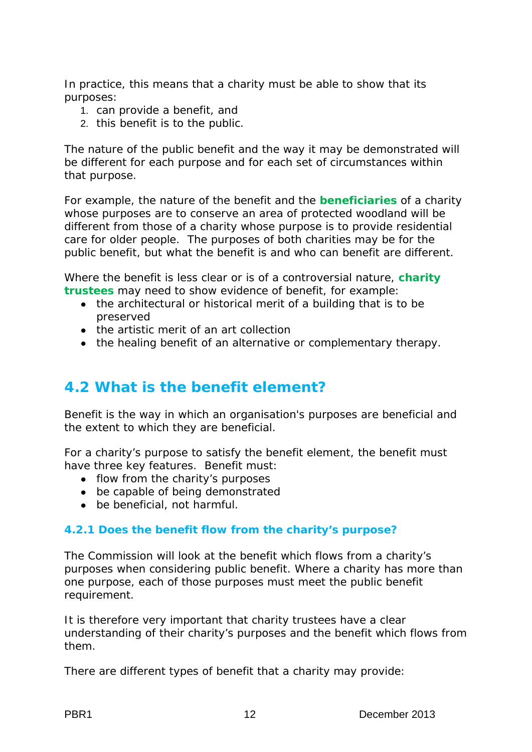In practice, this means that a charity must be able to show that its purposes:

- 1. can provide a benefit, and
- 2. this benefit is to the public.

The nature of the public benefit and the way it may be demonstrated will be different for each purpose and for each set of circumstances within that purpose.

For example, the nature of the benefit and the **beneficiaries** of a charity whose purposes are to conserve an area of protected woodland will be different from those of a charity whose purpose is to provide residential care for older people. The purposes of both charities may be for the public benefit, but what the benefit is and who can benefit are different.

Where the benefit is less clear or is of a controversial nature, **charity trustees** may need to show evidence of benefit, for example:

- the architectural or historical merit of a building that is to be preserved
- the artistic merit of an art collection
- the healing benefit of an alternative or complementary therapy.

# **4.2 What is the benefit element?**

Benefit is the way in which an organisation's purposes are beneficial and the extent to which they are beneficial.

For a charity's purpose to satisfy the benefit element, the benefit must have three key features. Benefit must:

- flow from the charity's purposes
- be capable of being demonstrated
- be beneficial, not harmful.

#### **4.2.1 Does the benefit flow from the charity's purpose?**

The Commission will look at the benefit which flows from a charity's purposes when considering public benefit. Where a charity has more than one purpose, each of those purposes must meet the public benefit requirement.

It is therefore very important that charity trustees have a clear understanding of their charity's purposes and the benefit which flows from them.

There are different types of benefit that a charity may provide: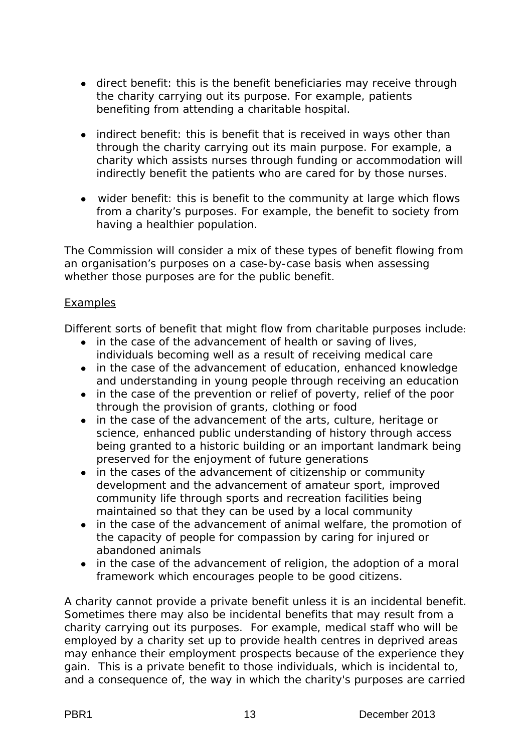- direct benefit: this is the benefit beneficiaries may receive through the charity carrying out its purpose. For example, patients benefiting from attending a charitable hospital.
- indirect benefit: this is benefit that is received in ways other than through the charity carrying out its main purpose. For example, a charity which assists nurses through funding or accommodation will indirectly benefit the patients who are cared for by those nurses.
- wider benefit: this is benefit to the community at large which flows from a charity's purposes. For example, the benefit to society from having a healthier population.

The Commission will consider a mix of these types of benefit flowing from an organisation's purposes on a case-by-case basis when assessing whether those purposes are for the public benefit.

#### **Examples**

Different sorts of benefit that might flow from charitable purposes include:

- in the case of the advancement of health or saving of lives, individuals becoming well as a result of receiving medical care
- in the case of the advancement of education, enhanced knowledge and understanding in young people through receiving an education
- in the case of the prevention or relief of poverty, relief of the poor through the provision of grants, clothing or food
- in the case of the advancement of the arts, culture, heritage or science, enhanced public understanding of history through access being granted to a historic building or an important landmark being preserved for the enjoyment of future generations
- in the cases of the advancement of citizenship or community development and the advancement of amateur sport, improved community life through sports and recreation facilities being maintained so that they can be used by a local community
- in the case of the advancement of animal welfare, the promotion of the capacity of people for compassion by caring for injured or abandoned animals
- in the case of the advancement of religion, the adoption of a moral framework which encourages people to be good citizens.

A charity cannot provide a private benefit unless it is an incidental benefit. Sometimes there may also be incidental benefits that may result from a charity carrying out its purposes. For example, medical staff who will be employed by a charity set up to provide health centres in deprived areas may enhance their employment prospects because of the experience they gain. This is a private benefit to those individuals, which is incidental to, and a consequence of, the way in which the charity's purposes are carried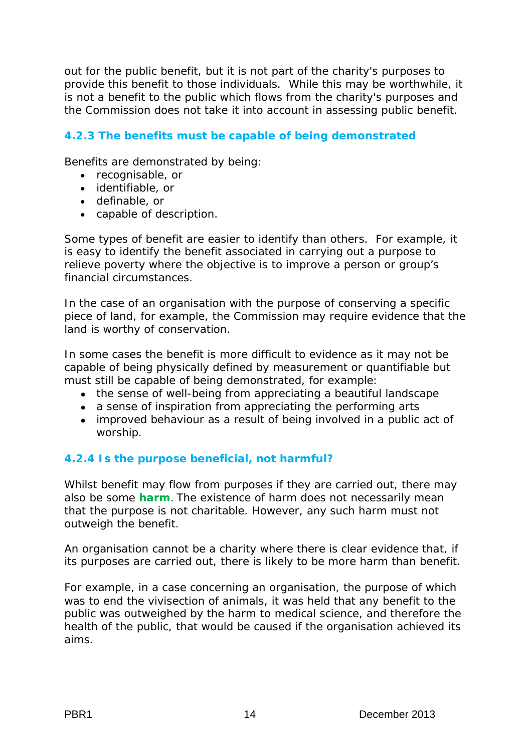out for the public benefit, but it is not part of the charity's purposes to provide this benefit to those individuals. While this may be worthwhile, it is not a benefit to the public which flows from the charity's purposes and the Commission does not take it into account in assessing public benefit.

# **4.2.3 The benefits must be capable of being demonstrated**

Benefits are demonstrated by being:

- recognisable, or
- identifiable, or
- definable, or
- capable of description.

Some types of benefit are easier to identify than others. For example, it is easy to identify the benefit associated in carrying out a purpose to relieve poverty where the objective is to improve a person or group's financial circumstances.

In the case of an organisation with the purpose of conserving a specific piece of land, for example, the Commission may require evidence that the land is worthy of conservation.

In some cases the benefit is more difficult to evidence as it may not be capable of being physically defined by measurement or quantifiable but must still be capable of being demonstrated, for example:

- the sense of well-being from appreciating a beautiful landscape
- a sense of inspiration from appreciating the performing arts
- improved behaviour as a result of being involved in a public act of worship.

# **4.2.4 Is the purpose beneficial, not harmful?**

Whilst benefit may flow from purposes if they are carried out, there may also be some **harm**. The existence of harm does not necessarily mean that the purpose is not charitable. However, any such harm must not outweigh the benefit.

An organisation cannot be a charity where there is clear evidence that, if its purposes are carried out, there is likely to be more harm than benefit.

For example, in a case concerning an organisation, the purpose of which was to end the vivisection of animals, it was held that any benefit to the public was outweighed by the harm to medical science, and therefore the health of the public, that would be caused if the organisation achieved its aims.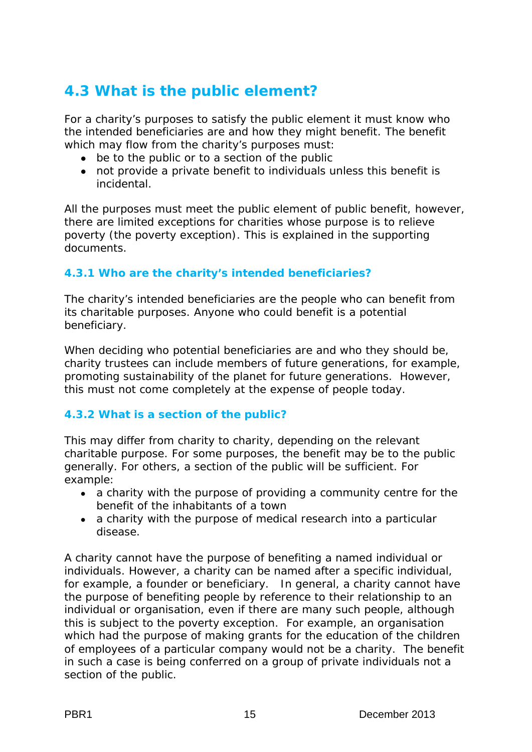# **4.3 What is the public element?**

For a charity's purposes to satisfy the public element it must know who the intended beneficiaries are and how they might benefit. The benefit which may flow from the charity's purposes must:

- be to the public or to a section of the public
- not provide a private benefit to individuals unless this benefit is incidental.

All the purposes must meet the public element of public benefit, however, there are limited exceptions for charities whose purpose is to relieve poverty (the poverty exception). This is explained in the supporting documents.

# **4.3.1 Who are the charity's intended beneficiaries?**

The charity's intended beneficiaries are the people who can benefit from its charitable purposes. Anyone who could benefit is a potential beneficiary.

When deciding who potential beneficiaries are and who they should be, charity trustees can include members of future generations, for example, promoting sustainability of the planet for future generations. However, this must not come completely at the expense of people today.

# **4.3.2 What is a section of the public?**

This may differ from charity to charity, depending on the relevant charitable purpose. For some purposes, the benefit may be to the public generally. For others, a section of the public will be sufficient. For example:

- a charity with the purpose of providing a community centre for the benefit of the inhabitants of a town
- a charity with the purpose of medical research into a particular disease.

A charity cannot have the purpose of benefiting a named individual or individuals. However, a charity can be named after a specific individual, for example, a founder or beneficiary. In general, a charity cannot have the purpose of benefiting people by reference to their relationship to an individual or organisation, even if there are many such people, although this is subject to the poverty exception. For example, an organisation which had the purpose of making grants for the education of the children of employees of a particular company would not be a charity. The benefit in such a case is being conferred on a group of private individuals not a section of the public.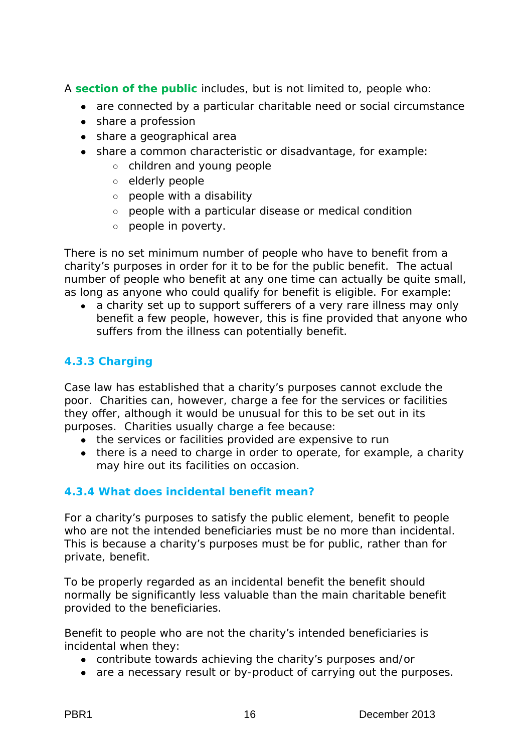A **section of the public** includes, but is not limited to, people who:

- are connected by a particular charitable need or social circumstance
- share a profession
- share a geographical area
- share a common characteristic or disadvantage, for example:
	- children and young people
	- elderly people
	- people with a disability
	- people with a particular disease or medical condition
	- people in poverty.

There is no set minimum number of people who have to benefit from a charity's purposes in order for it to be for the public benefit. The actual number of people who benefit at any one time can actually be quite small, as long as anyone who could qualify for benefit is eligible. For example:

• a charity set up to support sufferers of a very rare illness may only benefit a few people, however, this is fine provided that anyone who suffers from the illness can potentially benefit.

# **4.3.3 Charging**

Case law has established that a charity's purposes cannot exclude the poor. Charities can, however, charge a fee for the services or facilities they offer, although it would be unusual for this to be set out in its purposes. Charities usually charge a fee because:

- the services or facilities provided are expensive to run
- there is a need to charge in order to operate, for example, a charity may hire out its facilities on occasion.

# **4.3.4 What does incidental benefit mean?**

For a charity's purposes to satisfy the public element, benefit to people who are not the intended beneficiaries must be no more than incidental. This is because a charity's purposes must be for public, rather than for private, benefit.

To be properly regarded as an incidental benefit the benefit should normally be significantly less valuable than the main charitable benefit provided to the beneficiaries.

Benefit to people who are not the charity's intended beneficiaries is incidental when they:

- contribute towards achieving the charity's purposes and/or
- are a necessary result or by-product of carrying out the purposes.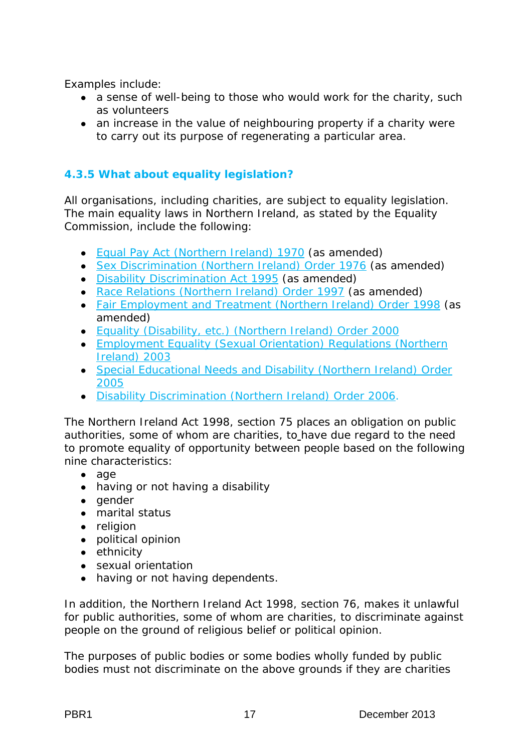Examples include:

- a sense of well-being to those who would work for the charity, such as volunteers
- an increase in the value of neighbouring property if a charity were to carry out its purpose of regenerating a particular area.

# **4.3.5 What about equality legislation?**

All organisations, including charities, are subject to equality legislation. The main equality laws in Northern Ireland, as stated by the Equality Commission, include the following:

- [Equal](http://www.statutelaw.gov.uk/legResults.aspx?LegType=All%20Primary&PageNumber=5&BrowseLetter=E&NavFrom=1&activeTextDocId=2912176) [Pay](http://www.statutelaw.gov.uk/legResults.aspx?LegType=All%20Primary&PageNumber=5&BrowseLetter=E&NavFrom=1&activeTextDocId=2912176) [Act](http://www.statutelaw.gov.uk/legResults.aspx?LegType=All%20Primary&PageNumber=5&BrowseLetter=E&NavFrom=1&activeTextDocId=2912176) [\(Northern](http://www.statutelaw.gov.uk/legResults.aspx?LegType=All%20Primary&PageNumber=5&BrowseLetter=E&NavFrom=1&activeTextDocId=2912176) [Ireland\) 1970](http://www.statutelaw.gov.uk/legResults.aspx?LegType=All%20Primary&PageNumber=5&BrowseLetter=E&NavFrom=1&activeTextDocId=2912176) (as amended)
- [Sex](http://www.statutelaw.gov.uk/legResults.aspx?LegType=All%20Primary&PageNumber=3&BrowseLetter=S&NavFrom=1&activeTextDocId=2956289) [Discrimination](http://www.statutelaw.gov.uk/legResults.aspx?LegType=All%20Primary&PageNumber=3&BrowseLetter=S&NavFrom=1&activeTextDocId=2956289) [\(Northern](http://www.statutelaw.gov.uk/legResults.aspx?LegType=All%20Primary&PageNumber=3&BrowseLetter=S&NavFrom=1&activeTextDocId=2956289) [Ireland\) Order](http://www.statutelaw.gov.uk/legResults.aspx?LegType=All%20Primary&PageNumber=3&BrowseLetter=S&NavFrom=1&activeTextDocId=2956289) [1976](http://www.statutelaw.gov.uk/legResults.aspx?LegType=All%20Primary&PageNumber=3&BrowseLetter=S&NavFrom=1&activeTextDocId=2956289) (as amended)
- [Disability](http://www.legislation.gov.uk/ukpga/1995/50/contents) [Discrimination](http://www.legislation.gov.uk/ukpga/1995/50/contents) [Act](http://www.legislation.gov.uk/ukpga/1995/50/contents) [1995](http://www.legislation.gov.uk/ukpga/1995/50/contents) (as amended)
- Race Relations (Northern Ireland) Order 1997 (as amended)
- [Fair](http://www.statutelaw.gov.uk/legResults.aspx?LegType=All%20Primary&PageNumber=1&BrowseLetter=F&NavFrom=1&activeTextDocId=2928527) [Employment](http://www.statutelaw.gov.uk/legResults.aspx?LegType=All%20Primary&PageNumber=1&BrowseLetter=F&NavFrom=1&activeTextDocId=2928527) [and](http://www.statutelaw.gov.uk/legResults.aspx?LegType=All%20Primary&PageNumber=1&BrowseLetter=F&NavFrom=1&activeTextDocId=2928527) [Treatment](http://www.statutelaw.gov.uk/legResults.aspx?LegType=All%20Primary&PageNumber=1&BrowseLetter=F&NavFrom=1&activeTextDocId=2928527) [\(Northern](http://www.statutelaw.gov.uk/legResults.aspx?LegType=All%20Primary&PageNumber=1&BrowseLetter=F&NavFrom=1&activeTextDocId=2928527) [Ireland\) Order](http://www.statutelaw.gov.uk/legResults.aspx?LegType=All%20Primary&PageNumber=1&BrowseLetter=F&NavFrom=1&activeTextDocId=2928527) [1998](http://www.statutelaw.gov.uk/legResults.aspx?LegType=All%20Primary&PageNumber=1&BrowseLetter=F&NavFrom=1&activeTextDocId=2928527) (as amended)
- [Equality](http://www.opsi.gov.uk/si/si2000/20001110.htm) [\(Disability, etc.\) \(Northern](http://www.opsi.gov.uk/si/si2000/20001110.htm) [Ireland\) Order](http://www.opsi.gov.uk/si/si2000/20001110.htm) [2000](http://www.opsi.gov.uk/si/si2000/20001110.htm)
- [Employment](http://www.opsi.gov.uk/sr/sr2003/20030497.htm) [Equality](http://www.opsi.gov.uk/sr/sr2003/20030497.htm) [\(Sexual](http://www.opsi.gov.uk/sr/sr2003/20030497.htm) [Orientation\) Regulations](http://www.opsi.gov.uk/sr/sr2003/20030497.htm) [\(Northern](http://www.opsi.gov.uk/sr/sr2003/20030497.htm) [Ireland\) 2003](http://www.opsi.gov.uk/sr/sr2003/20030497.htm)
- [Special](http://www.opsi.gov.uk/si/si2005/20051117.htm) [Educational](http://www.opsi.gov.uk/si/si2005/20051117.htm) [Needs](http://www.opsi.gov.uk/si/si2005/20051117.htm) [and](http://www.opsi.gov.uk/si/si2005/20051117.htm) [Disability](http://www.opsi.gov.uk/si/si2005/20051117.htm) [\(Northern](http://www.opsi.gov.uk/si/si2005/20051117.htm) [Ireland\) Order](http://www.opsi.gov.uk/si/si2005/20051117.htm) 2005
- [Disability](http://www.opsi.gov.uk/si/si2006/20060312.htm) [Discrimination](http://www.opsi.gov.uk/si/si2006/20060312.htm) [\(Northern](http://www.opsi.gov.uk/si/si2006/20060312.htm) [Ireland\) Order](http://www.opsi.gov.uk/si/si2006/20060312.htm) [2006.](http://www.opsi.gov.uk/si/si2006/20060312.htm)

The Northern Ireland Act 1998, section 75 places an obligation on public authorities, some of whom are charities, to have due regard to the need to promote equality of opportunity between people based on the following nine characteristics:

- age
- having or not having a disability
- gender
- marital status
- religion
- political opinion
- ethnicity
- sexual orientation
- having or not having dependents.

In addition, the Northern Ireland Act 1998, section 76, makes it unlawful for public authorities, some of whom are charities, to discriminate against people on the ground of religious belief or political opinion.

The purposes of public bodies or some bodies wholly funded by public bodies must not discriminate on the above grounds if they are charities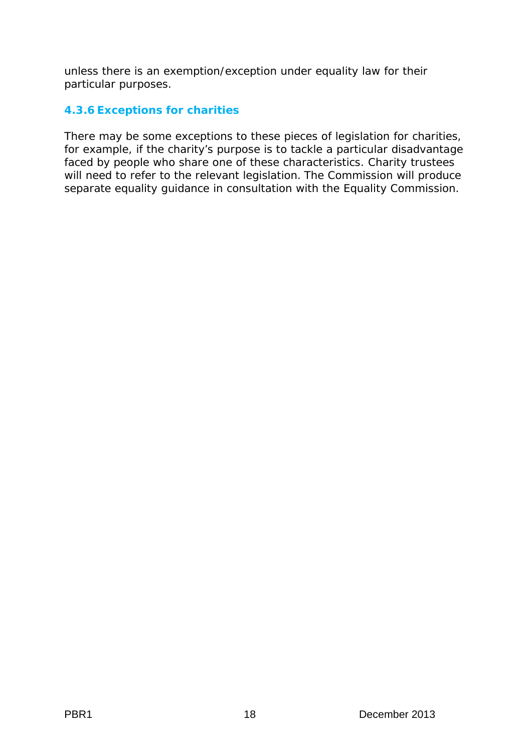unless there is an exemption/exception under equality law for their particular purposes.

## **4.3.6 Exceptions for charities**

There may be some exceptions to these pieces of legislation for charities, for example, if the charity's purpose is to tackle a particular disadvantage faced by people who share one of these characteristics. Charity trustees will need to refer to the relevant legislation. The Commission will produce separate equality guidance in consultation with the Equality Commission.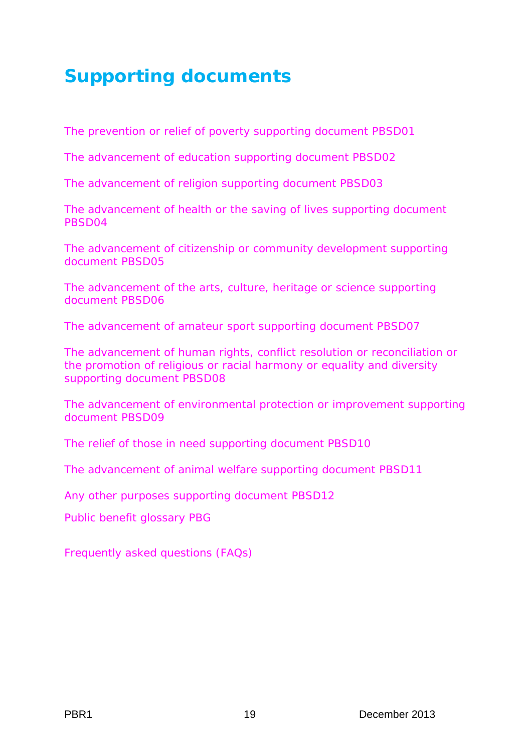# <span id="page-20-0"></span>**Supporting documents**

[The prevention or relief of poverty supporting document PBSD01](http://www.charitycommissionni.org.uk/Charity_requirements_guidance/Public_benefit_requirement.aspx)

[The advancement of education supporting document PBSD02](http://www.charitycommissionni.org.uk/Charity_requirements_guidance/Public_benefit_requirement.aspx)

[The advancement of religion supporting document PBSD03](http://www.charitycommissionni.org.uk/Charity_requirements_guidance/Public_benefit_requirement.aspx)

[The advancement of health or the saving of lives supporting document](http://www.charitycommissionni.org.uk/Charity_requirements_guidance/Public_benefit_requirement.aspx)  [PBSD04](http://www.charitycommissionni.org.uk/Charity_requirements_guidance/Public_benefit_requirement.aspx)

[The advancement of citizenship or community development supporting](http://www.charitycommissionni.org.uk/Charity_requirements_guidance/Public_benefit_requirement.aspx)  [document PBSD05](http://www.charitycommissionni.org.uk/Charity_requirements_guidance/Public_benefit_requirement.aspx)

The advancement [of the arts, culture, heritage or science supporting](http://www.charitycommissionni.org.uk/Charity_requirements_guidance/Public_benefit_requirement.aspx)  [document PBSD06](http://www.charitycommissionni.org.uk/Charity_requirements_guidance/Public_benefit_requirement.aspx)

[The advancement of amateur sport supporting document PBSD07](http://www.charitycommissionni.org.uk/Charity_requirements_guidance/Public_benefit_requirement.aspx)

[The advancement of human rights, conflict resolution or reconciliation or](http://www.charitycommissionni.org.uk/Charity_requirements_guidance/Public_benefit_requirement.aspx)  [the promotion of religious or racial harmony or equality and diversity](http://www.charitycommissionni.org.uk/Charity_requirements_guidance/Public_benefit_requirement.aspx)  [supporting document PBSD08](http://www.charitycommissionni.org.uk/Charity_requirements_guidance/Public_benefit_requirement.aspx)

[The advancement of environmental protection or improvement supporting](http://www.charitycommissionni.org.uk/Charity_requirements_guidance/Public_benefit_requirement.aspx)  [document PBSD09](http://www.charitycommissionni.org.uk/Charity_requirements_guidance/Public_benefit_requirement.aspx)

[The relief of those in need supporting document PBSD10](http://www.charitycommissionni.org.uk/Charity_requirements_guidance/Public_benefit_requirement.aspx)

[The advancement of animal welfare supporting document PBSD11](http://www.charitycommissionni.org.uk/Charity_requirements_guidance/Public_benefit_requirement.aspx)

[Any other purposes supporting document PBSD12](http://www.charitycommissionni.org.uk/Charity_requirements_guidance/Public_benefit_requirement.aspx)

[Public benefit glossary PBG](http://www.charitycommissionni.org.uk/Charity_requirements_guidance/Public_benefit_requirement.aspx)

[Frequently asked questions \(FAQs\)](http://www.charitycommissionni.org.uk/Charity_requirements_guidance/Public_benefit_requirement.aspx)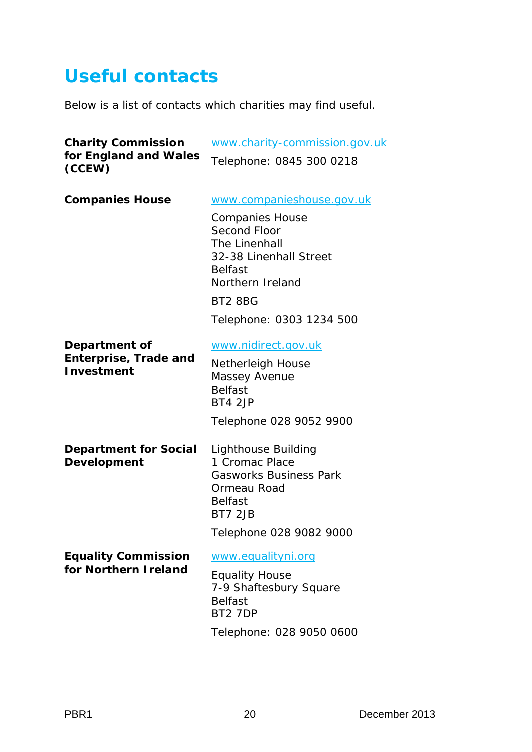# <span id="page-21-0"></span>**Useful contacts**

Below is a list of contacts which charities may find useful.

| <b>Charity Commission</b>                                          | www.charity-commission.gov.uk                                                                                                      |  |
|--------------------------------------------------------------------|------------------------------------------------------------------------------------------------------------------------------------|--|
| for England and Wales<br>(CCEW)                                    | Telephone: 0845 300 0218                                                                                                           |  |
| <b>Companies House</b>                                             | www.companieshouse.gov.uk                                                                                                          |  |
|                                                                    | <b>Companies House</b><br>Second Floor<br>The Linenhall<br>32-38 Linenhall Street<br><b>Belfast</b><br>Northern Ireland<br>BT2 8BG |  |
|                                                                    | Telephone: 0303 1234 500                                                                                                           |  |
| Department of<br><b>Enterprise, Trade and</b><br><b>Investment</b> | www.nidirect.gov.uk<br><b>Netherleigh House</b><br>Massey Avenue<br><b>Belfast</b>                                                 |  |
|                                                                    | BT4 2JP                                                                                                                            |  |
|                                                                    | Telephone 028 9052 9900                                                                                                            |  |
| Department for Social<br><b>Development</b>                        | Lighthouse Building<br>1 Cromac Place<br><b>Gasworks Business Park</b><br>Ormeau Road<br><b>Belfast</b><br><b>BT7 2JB</b>          |  |
|                                                                    | Telephone 028 9082 9000                                                                                                            |  |
| <b>Equality Commission</b><br>for Northern I reland                | www.equalityni.org<br><b>Equality House</b>                                                                                        |  |
|                                                                    | 7-9 Shaftesbury Square<br><b>Belfast</b><br>BT2 7DP                                                                                |  |
|                                                                    | Telephone: 028 9050 0600                                                                                                           |  |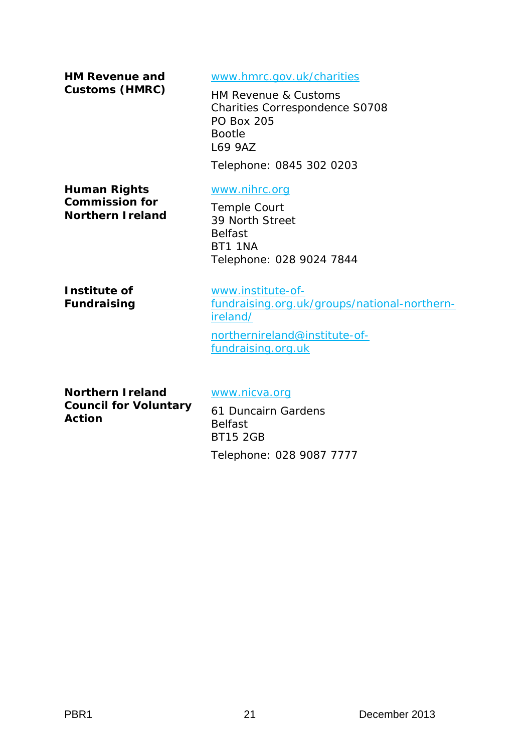**HM Revenue and Customs (HMRC)** [www.hmrc.gov.uk/charities](http://www.hmrc.gov.uk/charities) HM Revenue & Customs Charities Correspondence S0708 PO Box 205 Bootle L69 9AZ Telephone: 0845 302 0203 **Human Rights Commission for Northern Ireland** [www.nihrc.org](http://www.nihrc.org/) Temple Court 39 North Street Belfast BT1 1NA Telephone: 028 9024 7844 **Institute of** 

**Fundraising**

[www.institute-of](http://www.institute-of-fundraising.org.uk/groups/national-northern-ireland/)[fundraising.org.uk/groups/national-northern](http://www.institute-of-fundraising.org.uk/groups/national-northern-ireland/)[ireland/](http://www.institute-of-fundraising.org.uk/groups/national-northern-ireland/) [northernireland@institute-of](mailto:northernireland@institute-of-fundraising.org.uk)[fundraising.org.uk](mailto:northernireland@institute-of-fundraising.org.uk)

**Northern Ireland Council for Voluntary Action**

[www.nicva.org](http://www.nicva.org/)

61 Duncairn Gardens Belfast BT15 2GB Telephone: 028 9087 7777